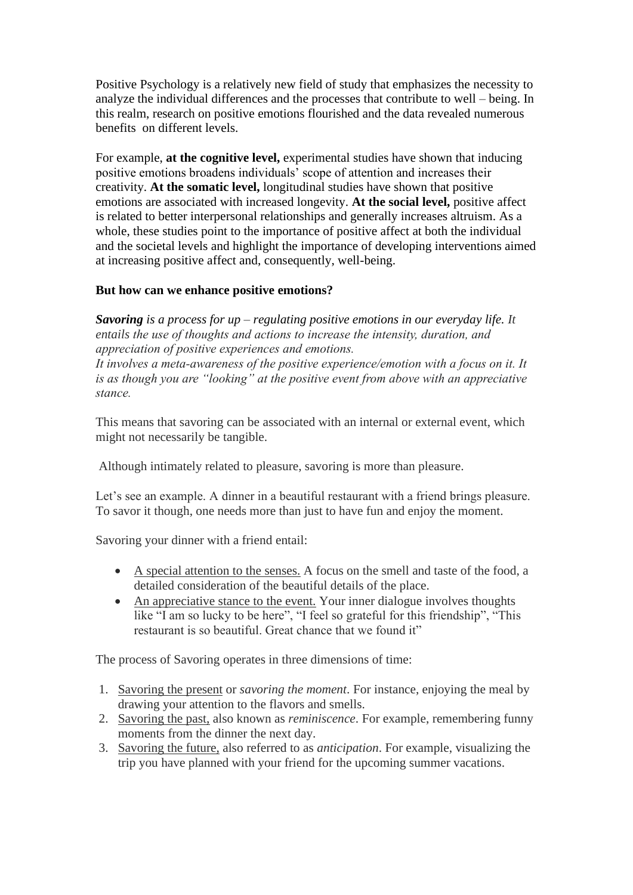Positive Psychology is a relatively new field of study that emphasizes the necessity to analyze the individual differences and the processes that contribute to well – being. In this realm, research on positive emotions flourished and the data revealed numerous benefits on different levels.

For example, **at the cognitive level,** experimental studies have shown that inducing positive emotions broadens individuals' scope of attention and increases their creativity. **At the somatic level,** longitudinal studies have shown that positive emotions are associated with increased longevity. **At the social level,** positive affect is related to better interpersonal relationships and generally increases altruism. As a whole, these studies point to the importance of positive affect at both the individual and the societal levels and highlight the importance of developing interventions aimed at increasing positive affect and, consequently, well-being.

## **But how can we enhance positive emotions?**

*Savoring is a process for up – regulating positive emotions in our everyday life. It entails the use of thoughts and actions to increase the intensity, duration, and appreciation of positive experiences and emotions.* 

*It involves a meta-awareness of the positive experience/emotion with a focus on it. It is as though you are "looking" at the positive event from above with an appreciative stance.*

This means that savoring can be associated with an internal or external event, which might not necessarily be tangible.

Although intimately related to pleasure, savoring is more than pleasure.

Let's see an example. A dinner in a beautiful restaurant with a friend brings pleasure. To savor it though, one needs more than just to have fun and enjoy the moment.

Savoring your dinner with a friend entail:

- A special attention to the senses. A focus on the smell and taste of the food, a detailed consideration of the beautiful details of the place.
- An appreciative stance to the event. Your inner dialogue involves thoughts like "I am so lucky to be here", "I feel so grateful for this friendship", "This restaurant is so beautiful. Great chance that we found it"

The process of Savoring operates in three dimensions of time:

- 1. Savoring the present or *savoring the moment*. For instance, enjoying the meal by drawing your attention to the flavors and smells.
- 2. Savoring the past, also known as *reminiscence*. For example, remembering funny moments from the dinner the next day.
- 3. Savoring the future, also referred to as *anticipation*. For example, visualizing the trip you have planned with your friend for the upcoming summer vacations.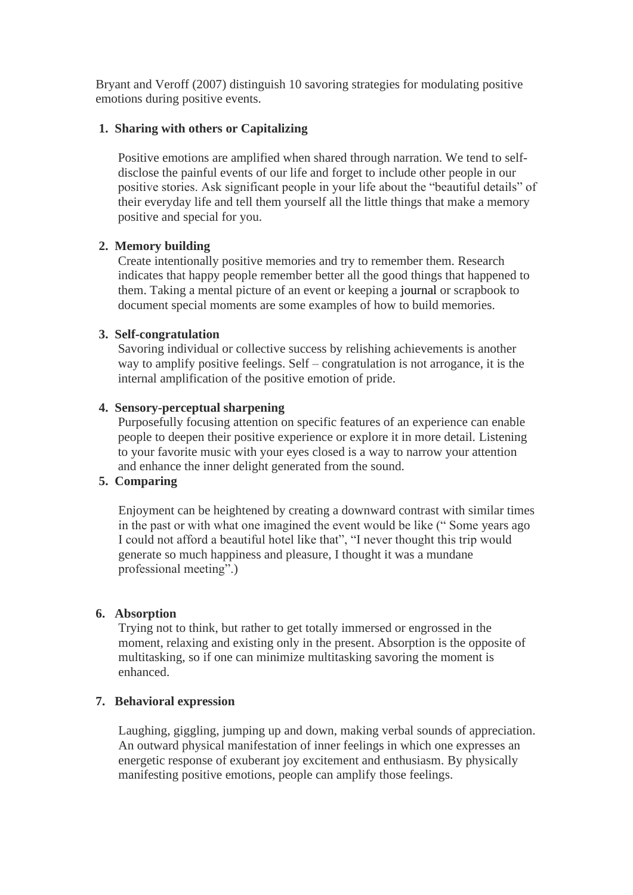Bryant and Veroff (2007) distinguish 10 savoring strategies for modulating positive emotions during positive events.

### **1. Sharing with others or Capitalizing**

Positive emotions are amplified when shared through narration. We tend to selfdisclose the painful events of our life and forget to include other people in our positive stories. Ask significant people in your life about the "beautiful details" of their everyday life and tell them yourself all the little things that make a memory positive and special for you.

## **2. Memory building**

Create intentionally positive memories and try to remember them. Research indicates that happy people remember better all the good things that happened to them. Taking a mental picture of an event or keeping a [journal](https://positivepsychology.com/journaling-for-mindfulness/) or scrapbook to document special moments are some examples of how to build memories.

## **3. Self-congratulation**

Savoring individual or collective success by relishing achievements is another way to amplify positive feelings. Self – congratulation is not arrogance, it is the internal amplification of the positive emotion of pride.

## **4. Sensory-perceptual sharpening**

Purposefully focusing attention on specific features of an experience can enable people to deepen their positive experience or explore it in more detail. Listening to your favorite music with your eyes closed is a way to narrow your attention and enhance the inner delight generated from the sound.

#### **5. Comparing**

Enjoyment can be heightened by creating a downward contrast with similar times in the past or with what one imagined the event would be like (" Some years ago I could not afford a beautiful hotel like that", "I never thought this trip would generate so much happiness and pleasure, I thought it was a mundane professional meeting".)

#### **6. Absorption**

Trying not to think, but rather to get totally immersed or engrossed in the moment, relaxing and existing only in the present. Absorption is the opposite of multitasking, so if one can minimize multitasking savoring the moment is enhanced.

#### **7. Behavioral expression**

Laughing, giggling, jumping up and down, making verbal sounds of appreciation. An outward physical manifestation of inner feelings in which one expresses an energetic response of exuberant joy excitement and enthusiasm. By physically manifesting positive emotions, people can amplify those feelings.